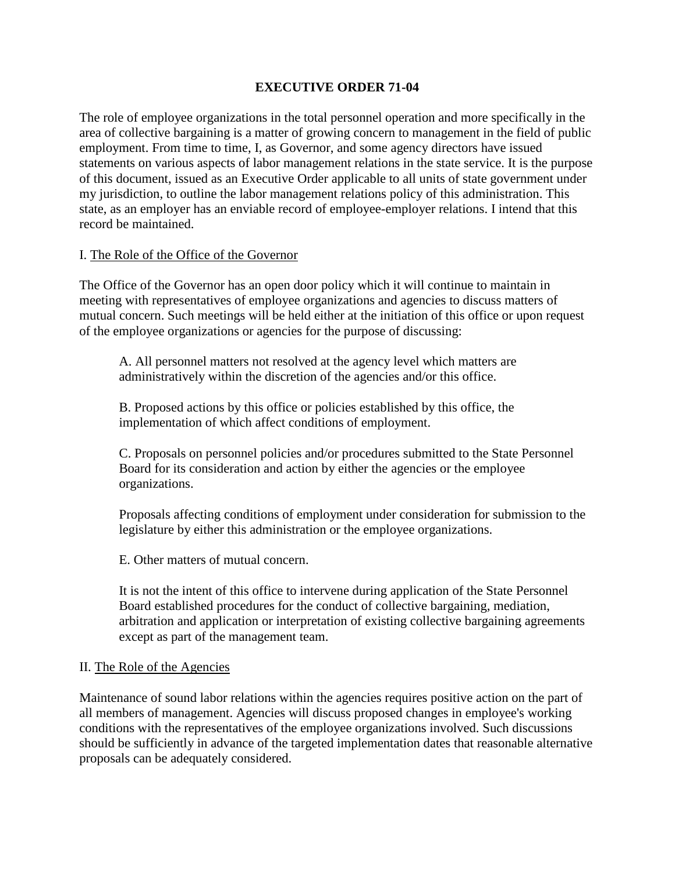## **EXECUTIVE ORDER 71-04**

The role of employee organizations in the total personnel operation and more specifically in the area of collective bargaining is a matter of growing concern to management in the field of public employment. From time to time, I, as Governor, and some agency directors have issued statements on various aspects of labor management relations in the state service. It is the purpose of this document, issued as an Executive Order applicable to all units of state government under my jurisdiction, to outline the labor management relations policy of this administration. This state, as an employer has an enviable record of employee-employer relations. I intend that this record be maintained.

### I. The Role of the Office of the Governor

The Office of the Governor has an open door policy which it will continue to maintain in meeting with representatives of employee organizations and agencies to discuss matters of mutual concern. Such meetings will be held either at the initiation of this office or upon request of the employee organizations or agencies for the purpose of discussing:

A. All personnel matters not resolved at the agency level which matters are administratively within the discretion of the agencies and/or this office.

B. Proposed actions by this office or policies established by this office, the implementation of which affect conditions of employment.

C. Proposals on personnel policies and/or procedures submitted to the State Personnel Board for its consideration and action by either the agencies or the employee organizations.

Proposals affecting conditions of employment under consideration for submission to the legislature by either this administration or the employee organizations.

E. Other matters of mutual concern.

It is not the intent of this office to intervene during application of the State Personnel Board established procedures for the conduct of collective bargaining, mediation, arbitration and application or interpretation of existing collective bargaining agreements except as part of the management team.

#### II. The Role of the Agencies

Maintenance of sound labor relations within the agencies requires positive action on the part of all members of management. Agencies will discuss proposed changes in employee's working conditions with the representatives of the employee organizations involved. Such discussions should be sufficiently in advance of the targeted implementation dates that reasonable alternative proposals can be adequately considered.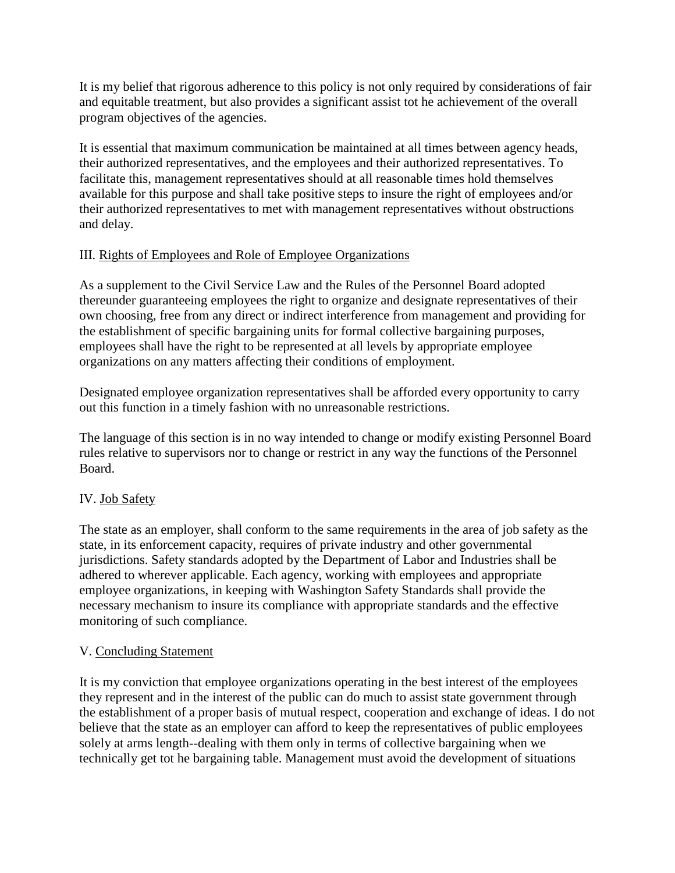It is my belief that rigorous adherence to this policy is not only required by considerations of fair and equitable treatment, but also provides a significant assist tot he achievement of the overall program objectives of the agencies.

It is essential that maximum communication be maintained at all times between agency heads, their authorized representatives, and the employees and their authorized representatives. To facilitate this, management representatives should at all reasonable times hold themselves available for this purpose and shall take positive steps to insure the right of employees and/or their authorized representatives to met with management representatives without obstructions and delay.

## III. Rights of Employees and Role of Employee Organizations

As a supplement to the Civil Service Law and the Rules of the Personnel Board adopted thereunder guaranteeing employees the right to organize and designate representatives of their own choosing, free from any direct or indirect interference from management and providing for the establishment of specific bargaining units for formal collective bargaining purposes, employees shall have the right to be represented at all levels by appropriate employee organizations on any matters affecting their conditions of employment.

Designated employee organization representatives shall be afforded every opportunity to carry out this function in a timely fashion with no unreasonable restrictions.

The language of this section is in no way intended to change or modify existing Personnel Board rules relative to supervisors nor to change or restrict in any way the functions of the Personnel Board.

# IV. Job Safety

The state as an employer, shall conform to the same requirements in the area of job safety as the state, in its enforcement capacity, requires of private industry and other governmental jurisdictions. Safety standards adopted by the Department of Labor and Industries shall be adhered to wherever applicable. Each agency, working with employees and appropriate employee organizations, in keeping with Washington Safety Standards shall provide the necessary mechanism to insure its compliance with appropriate standards and the effective monitoring of such compliance.

## V. Concluding Statement

It is my conviction that employee organizations operating in the best interest of the employees they represent and in the interest of the public can do much to assist state government through the establishment of a proper basis of mutual respect, cooperation and exchange of ideas. I do not believe that the state as an employer can afford to keep the representatives of public employees solely at arms length--dealing with them only in terms of collective bargaining when we technically get tot he bargaining table. Management must avoid the development of situations